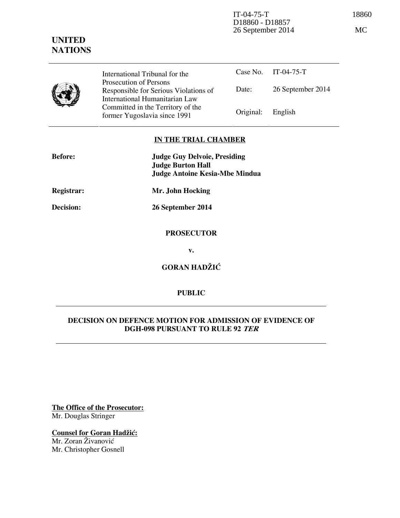IT-04-75-T 18860 D18860 - D18857 26 September 2014 MC

# **UNITED NATIONS**

International Tribunal for the Prosecution of Persons Responsible for Serious Violations of International Humanitarian Law Committed in the Territory of the Former Yugoslavia since 1991 Original: English

Case No. IT-04-75-T Date: 26 September 2014

### **IN THE TRIAL CHAMBER**

| <b>Before:</b>   | <b>Judge Guy Delvoie, Presiding</b><br><b>Judge Burton Hall</b><br><b>Judge Antoine Kesia-Mbe Mindua</b> |
|------------------|----------------------------------------------------------------------------------------------------------|
| Registrar:       | Mr. John Hocking                                                                                         |
| <b>Decision:</b> | 26 September 2014                                                                                        |
|                  | <b>PROSECUTOR</b>                                                                                        |

**v.** 

**GORAN HADŽIĆ** 

# **PUBLIC**

### **DECISION ON DEFENCE MOTION FOR ADMISSION OF EVIDENCE OF DGH-098 PURSUANT TO RULE 92 TER**

**The Office of the Prosecutor:** Mr. Douglas Stringer

**Counsel for Goran Hadžić:** Mr. Zoran Živanović Mr. Christopher Gosnell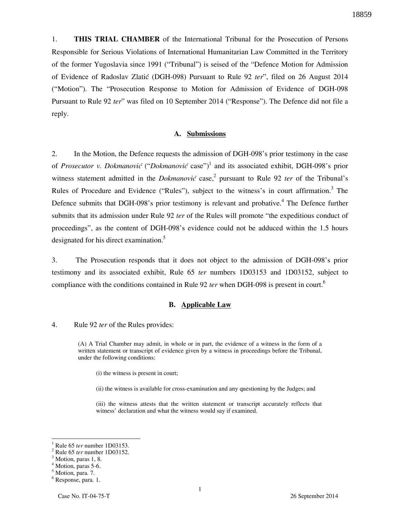18859

1. **THIS TRIAL CHAMBER** of the International Tribunal for the Prosecution of Persons Responsible for Serious Violations of International Humanitarian Law Committed in the Territory of the former Yugoslavia since 1991 ("Tribunal") is seised of the "Defence Motion for Admission of Evidence of Radoslav Zlatić (DGH-098) Pursuant to Rule 92 *ter*", filed on 26 August 2014 ("Motion"). The "Prosecution Response to Motion for Admission of Evidence of DGH-098 Pursuant to Rule 92 *ter*" was filed on 10 September 2014 ("Response"). The Defence did not file a reply.

#### **A. Submissions**

2. In the Motion, the Defence requests the admission of DGH-098's prior testimony in the case of *Prosecutor v. Dokmanović* ("Dokmanović case")<sup>1</sup> and its associated exhibit, DGH-098's prior witness statement admitted in the *Dokmanović* case,<sup>2</sup> pursuant to Rule 92 *ter* of the Tribunal's Rules of Procedure and Evidence ("Rules"), subject to the witness's in court affirmation.<sup>3</sup> The Defence submits that DGH-098's prior testimony is relevant and probative.<sup>4</sup> The Defence further submits that its admission under Rule 92 *ter* of the Rules will promote "the expeditious conduct of proceedings", as the content of DGH-098's evidence could not be adduced within the 1.5 hours designated for his direct examination.<sup>5</sup>

3. The Prosecution responds that it does not object to the admission of DGH-098's prior testimony and its associated exhibit, Rule 65 *ter* numbers 1D03153 and 1D03152, subject to compliance with the conditions contained in Rule 92 *ter* when DGH-098 is present in court.<sup>6</sup>

#### **B. Applicable Law**

4. Rule 92 *ter* of the Rules provides:

(A) A Trial Chamber may admit, in whole or in part, the evidence of a witness in the form of a written statement or transcript of evidence given by a witness in proceedings before the Tribunal, under the following conditions:

(i) the witness is present in court;

(ii) the witness is available for cross-examination and any questioning by the Judges; and

(iii) the witness attests that the written statement or transcript accurately reflects that witness' declaration and what the witness would say if examined.

 $\overline{a}$ 

<sup>1</sup> Rule 65 *ter* number 1D03153.

<sup>2</sup> Rule 65 *ter* number 1D03152.

<sup>&</sup>lt;sup>3</sup> Motion, paras 1, 8.

<sup>4</sup> Motion, paras 5-6.

<sup>&</sup>lt;sup>5</sup> Motion, para. 7.

<sup>6</sup> Response, para. 1.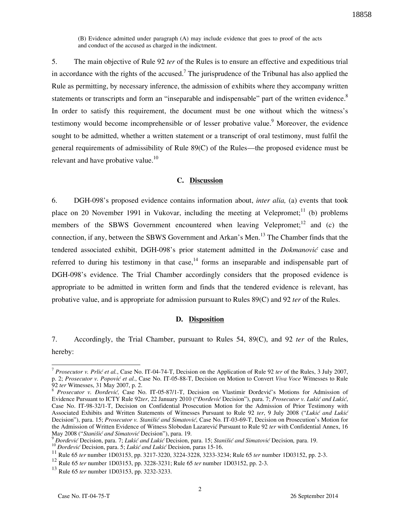(B) Evidence admitted under paragraph (A) may include evidence that goes to proof of the acts and conduct of the accused as charged in the indictment.

5. The main objective of Rule 92 *ter* of the Rules is to ensure an effective and expeditious trial in accordance with the rights of the accused.<sup>7</sup> The jurisprudence of the Tribunal has also applied the Rule as permitting, by necessary inference, the admission of exhibits where they accompany written statements or transcripts and form an "inseparable and indispensable" part of the written evidence.<sup>8</sup> In order to satisfy this requirement, the document must be one without which the witness's testimony would become incomprehensible or of lesser probative value.<sup>9</sup> Moreover, the evidence sought to be admitted, whether a written statement or a transcript of oral testimony, must fulfil the general requirements of admissibility of Rule 89(C) of the Rules—the proposed evidence must be relevant and have probative value.<sup>10</sup>

#### **C. Discussion**

6. DGH-098's proposed evidence contains information about, *inter alia,* (a) events that took place on 20 November 1991 in Vukovar, including the meeting at Velepromet;<sup>11</sup> (b) problems members of the SBWS Government encountered when leaving Velepromet;<sup>12</sup> and (c) the connection, if any, between the SBWS Government and Arkan's Men.<sup>13</sup> The Chamber finds that the tendered associated exhibit, DGH-098's prior statement admitted in the *Dokmanović* case and referred to during his testimony in that case,  $14$  forms an inseparable and indispensable part of DGH-098's evidence. The Trial Chamber accordingly considers that the proposed evidence is appropriate to be admitted in written form and finds that the tendered evidence is relevant, has probative value, and is appropriate for admission pursuant to Rules 89(C) and 92 *ter* of the Rules.

#### **D. Disposition**

7. Accordingly, the Trial Chamber, pursuant to Rules 54, 89(C), and 92 *ter* of the Rules, hereby:

 $\overline{a}$ 

<sup>&</sup>lt;sup>7</sup> Prosecutor v. Prlić et al., Case No. IT-04-74-T, Decision on the Application of Rule 92 *ter* of the Rules, 3 July 2007, p. 2; *Prosecutor v. Popovi} et al.*, Case No. IT-05-88-T, Decision on Motion to Convert *Viva Voce* Witnesses to Rule 92 *ter* Witnesses, 31 May 2007, p. 2.

<sup>&</sup>lt;sup>8</sup> Prosecutor v. Đorđević, Case No. IT-05-87/1-T, Decision on Vlastimir Đorđević's Motions for Admission of Evidence Pursuant to ICTY Rule 92ter, 22 January 2010 ("*Đorđević* Decision"), para. 7; Prosecutor v. Lukić and Lukić, Case No. IT-98-32/1-T, Decision on Confidential Prosecution Motion for the Admission of Prior Testimony with Associated Exhibits and Written Statements of Witnesses Pursuant to Rule 92 ter, 9 July 2008 ("Lukić and Lukić Decision"), para. 15; *Prosecutor v. Stanišić and Simatović*, Case No. IT-03-69-T, Decision on Prosecution's Motion for the Admission of Written Evidence of Witness Slobodan Lazarević Pursuant to Rule 92 *ter* with Confidential Annex, 16 May 2008 ("*Stanišić and Simatović Decision"*), para. 19.

<sup>&</sup>lt;sup>9</sup> *Dorđević* Decision, para. 7; *Lukić and Lukić* Decision, para. 15; *Stanišić and Simatović* Decision, para. 19.

<sup>&</sup>lt;sup>10</sup> *Bordević* Decision, para. 5; *Lukić and Lukić* Decision, paras 15-16.

<sup>11</sup> Rule 65 *ter* number 1D03153, pp. 3217-3220, 3224-3228, 3233-3234; Rule 65 *ter* number 1D03152, pp. 2-3.

<sup>12</sup> Rule 65 *ter* number 1D03153, pp. 3228-3231; Rule 65 *ter* number 1D03152, pp. 2-3.

<sup>13</sup> Rule 65 *ter* number 1D03153, pp. 3232-3233.